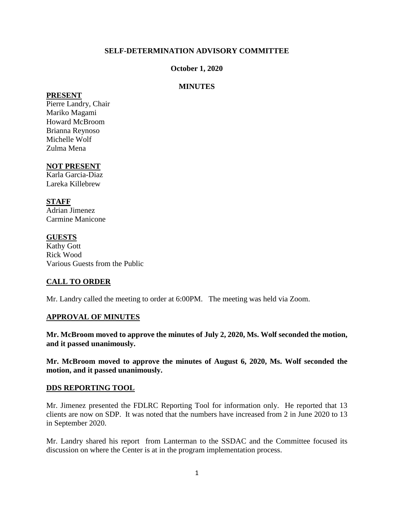### **SELF-DETERMINATION ADVISORY COMMITTEE**

#### **October 1, 2020**

### **MINUTES**

#### **PRESENT**

Pierre Landry, Chair Mariko Magami Howard McBroom Brianna Reynoso Michelle Wolf Zulma Mena

#### **NOT PRESENT**

Karla Garcia-Diaz Lareka Killebrew

## **STAFF**

Adrian Jimenez Carmine Manicone

### **GUESTS**

Kathy Gott Rick Wood Various Guests from the Public

## **CALL TO ORDER**

Mr. Landry called the meeting to order at 6:00PM. The meeting was held via Zoom.

#### **APPROVAL OF MINUTES**

**Mr. McBroom moved to approve the minutes of July 2, 2020, Ms. Wolf seconded the motion, and it passed unanimously.** 

**Mr. McBroom moved to approve the minutes of August 6, 2020, Ms. Wolf seconded the motion, and it passed unanimously.** 

#### **DDS REPORTING TOOL**

Mr. Jimenez presented the FDLRC Reporting Tool for information only. He reported that 13 clients are now on SDP. It was noted that the numbers have increased from 2 in June 2020 to 13 in September 2020.

Mr. Landry shared his report from Lanterman to the SSDAC and the Committee focused its discussion on where the Center is at in the program implementation process.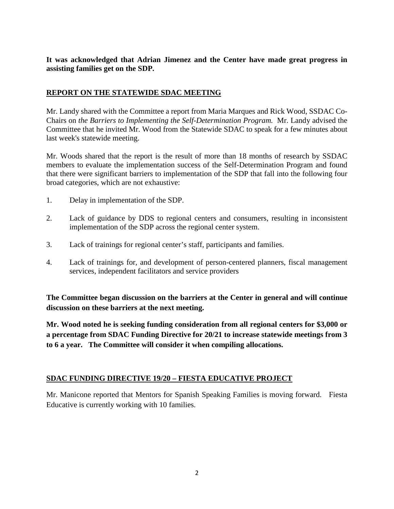**It was acknowledged that Adrian Jimenez and the Center have made great progress in assisting families get on the SDP.** 

## **REPORT ON THE STATEWIDE SDAC MEETING**

Mr. Landy shared with the Committee a report from Maria Marques and Rick Wood, SSDAC Co-Chairs on *the Barriers to Implementing the Self-Determination Program.* Mr. Landy advised the Committee that he invited Mr. Wood from the Statewide SDAC to speak for a few minutes about last week's statewide meeting.

Mr. Woods shared that the report is the result of more than 18 months of research by SSDAC members to evaluate the implementation success of the Self-Determination Program and found that there were significant barriers to implementation of the SDP that fall into the following four broad categories, which are not exhaustive:

- 1. Delay in implementation of the SDP.
- 2. Lack of guidance by DDS to regional centers and consumers, resulting in inconsistent implementation of the SDP across the regional center system.
- 3. Lack of trainings for regional center's staff, participants and families.
- 4. Lack of trainings for, and development of person-centered planners, fiscal management services, independent facilitators and service providers

**The Committee began discussion on the barriers at the Center in general and will continue discussion on these barriers at the next meeting.** 

**Mr. Wood noted he is seeking funding consideration from all regional centers for \$3,000 or a percentage from SDAC Funding Directive for 20/21 to increase statewide meetings from 3 to 6 a year. The Committee will consider it when compiling allocations.**

## **SDAC FUNDING DIRECTIVE 19/20 – FIESTA EDUCATIVE PROJECT**

Mr. Manicone reported that Mentors for Spanish Speaking Families is moving forward. Fiesta Educative is currently working with 10 families.